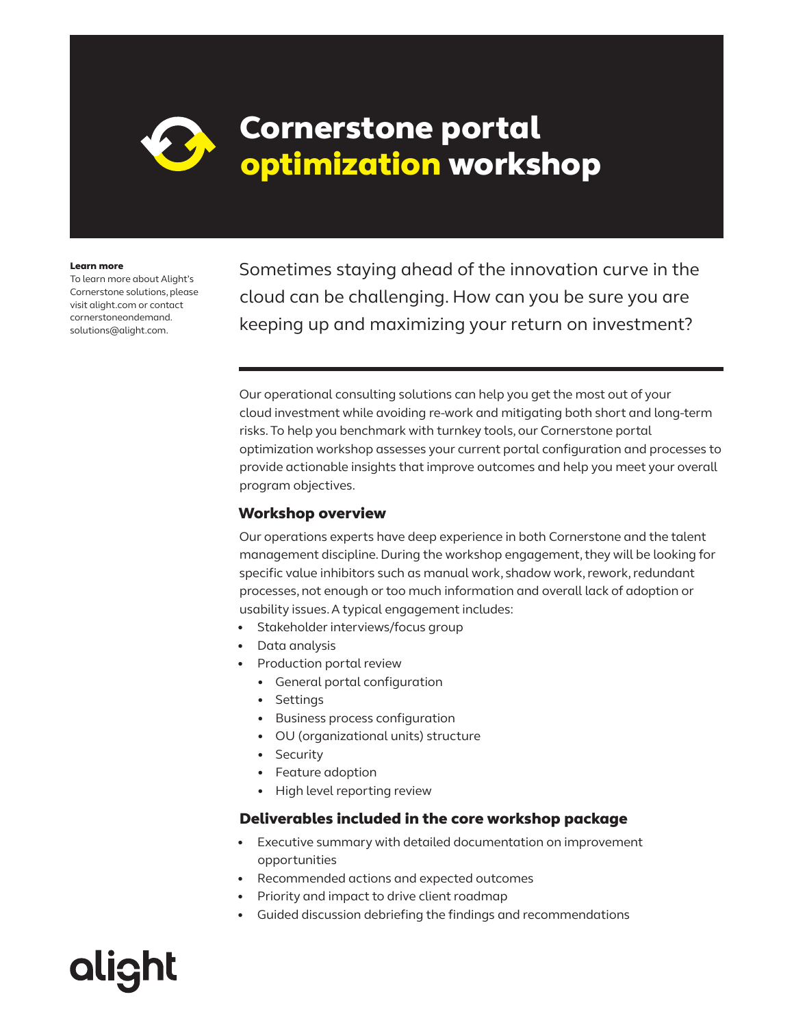## Cornerstone portal optimization workshop

#### Learn more

To learn more about Alight's Cornerstone solutions, please visit alight.com or contact cornerstoneondemand. solutions@alight.com.

**alight** 

Sometimes staying ahead of the innovation curve in the cloud can be challenging. How can you be sure you are keeping up and maximizing your return on investment?

Our operational consulting solutions can help you get the most out of your cloud investment while avoiding re-work and mitigating both short and long-term risks. To help you benchmark with turnkey tools, our Cornerstone portal optimization workshop assesses your current portal configuration and processes to provide actionable insights that improve outcomes and help you meet your overall program objectives.

#### Workshop overview

Our operations experts have deep experience in both Cornerstone and the talent management discipline. During the workshop engagement, they will be looking for specific value inhibitors such as manual work, shadow work, rework, redundant processes, not enough or too much information and overall lack of adoption or usability issues. A typical engagement includes:

- Stakeholder interviews/focus group
- Data analysis
- Production portal review
	- General portal configuration
	- Settings
	- Business process configuration
	- OU (organizational units) structure
	- Security
	- Feature adoption
	- High level reporting review

#### Deliverables included in the core workshop package

- Executive summary with detailed documentation on improvement opportunities
- Recommended actions and expected outcomes
- Priority and impact to drive client roadmap
- Guided discussion debriefing the findings and recommendations